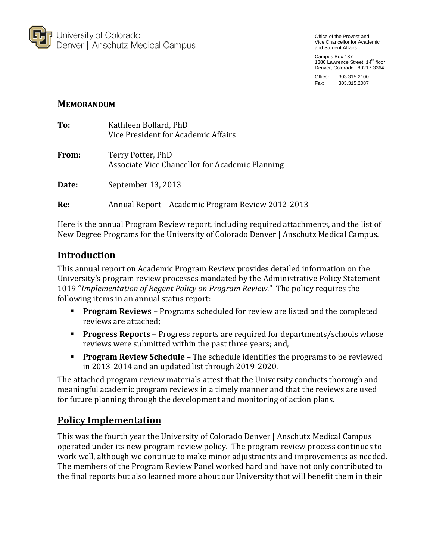

Office of the Provost and Vice Chancellor for Academic and Student Affairs

Campus Box 137 1380 Lawrence Street, 14<sup>th</sup> floor Denver, Colorado 80217-3364

Office: 303.315.2100 Fax: 303.315.2087

## **MEMORANDUM**

| To:   | Kathleen Bollard, PhD<br>Vice President for Academic Affairs         |
|-------|----------------------------------------------------------------------|
| From: | Terry Potter, PhD<br>Associate Vice Chancellor for Academic Planning |
| Date: | September 13, 2013                                                   |
| Re:   | Annual Report – Academic Program Review 2012-2013                    |

Here is the annual Program Review report, including required attachments, and the list of New Degree Programs for the University of Colorado Denver | Anschutz Medical Campus.

# **Introduction**

This annual report on Academic Program Review provides detailed information on the University's program review processes mandated by the Administrative Policy Statement 1019 "*Implementation of Regent Policy on Program Review.*" The policy requires the following items in an annual status report:

- **Program Reviews** Programs scheduled for review are listed and the completed reviews are attached;
- **Progress Reports** Progress reports are required for departments/schools whose reviews were submitted within the past three years; and,
- **Program Review Schedule** The schedule identifies the programs to be reviewed in 2013-2014 and an updated list through 2019-2020.

The attached program review materials attest that the University conducts thorough and meaningful academic program reviews in a timely manner and that the reviews are used for future planning through the development and monitoring of action plans.

# **Policy Implementation**

This was the fourth year the University of Colorado Denver | Anschutz Medical Campus operated under its new program review policy. The program review process continues to work well, although we continue to make minor adjustments and improvements as needed. The members of the Program Review Panel worked hard and have not only contributed to the final reports but also learned more about our University that will benefit them in their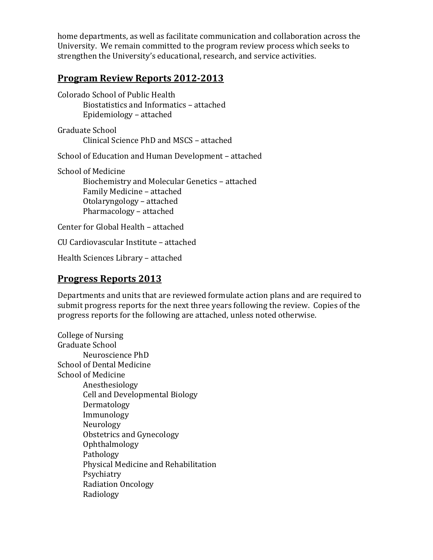home departments, as well as facilitate communication and collaboration across the University. We remain committed to the program review process which seeks to strengthen the University's educational, research, and service activities.

# **Program Review Reports 2012-2013**

Colorado School of Public Health Biostatistics and Informatics – attached Epidemiology – attached

Graduate School Clinical Science PhD and MSCS – attached

School of Education and Human Development – attached

School of Medicine Biochemistry and Molecular Genetics – attached Family Medicine – attached Otolaryngology – attached Pharmacology – attached

Center for Global Health – attached

CU Cardiovascular Institute – attached

Health Sciences Library – attached

# **Progress Reports 2013**

Departments and units that are reviewed formulate action plans and are required to submit progress reports for the next three years following the review. Copies of the progress reports for the following are attached, unless noted otherwise.

College of Nursing Graduate School Neuroscience PhD School of Dental Medicine School of Medicine Anesthesiology Cell and Developmental Biology Dermatology Immunology Neurology Obstetrics and Gynecology Ophthalmology Pathology Physical Medicine and Rehabilitation Psychiatry Radiation Oncology Radiology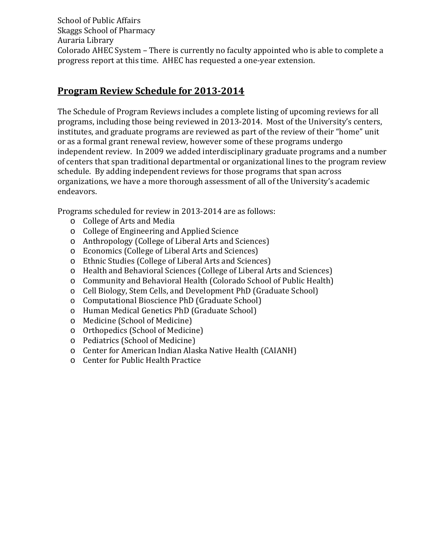School of Public Affairs Skaggs School of Pharmacy Auraria Library Colorado AHEC System – There is currently no faculty appointed who is able to complete a progress report at this time. AHEC has requested a one-year extension.

# **Program Review Schedule for 2013-2014**

The Schedule of Program Reviews includes a complete listing of upcoming reviews for all programs, including those being reviewed in 2013-2014. Most of the University's centers, institutes, and graduate programs are reviewed as part of the review of their "home" unit or as a formal grant renewal review, however some of these programs undergo independent review. In 2009 we added interdisciplinary graduate programs and a number of centers that span traditional departmental or organizational lines to the program review schedule. By adding independent reviews for those programs that span across organizations, we have a more thorough assessment of all of the University's academic endeavors.

Programs scheduled for review in 2013-2014 are as follows:

- o College of Arts and Media
- o College of Engineering and Applied Science
- o Anthropology (College of Liberal Arts and Sciences)
- o Economics (College of Liberal Arts and Sciences)
- o Ethnic Studies (College of Liberal Arts and Sciences)
- o Health and Behavioral Sciences (College of Liberal Arts and Sciences)
- o Community and Behavioral Health (Colorado School of Public Health)
- o Cell Biology, Stem Cells, and Development PhD (Graduate School)
- o Computational Bioscience PhD (Graduate School)
- o Human Medical Genetics PhD (Graduate School)
- o Medicine (School of Medicine)
- o Orthopedics (School of Medicine)
- o Pediatrics (School of Medicine)
- o Center for American Indian Alaska Native Health (CAIANH)
- o Center for Public Health Practice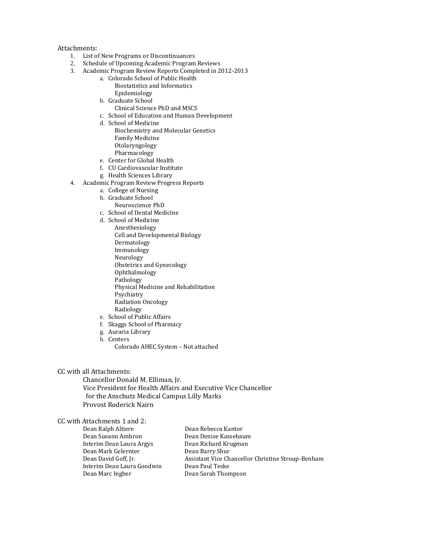#### Attachments:

- 1. List of New Programs or Discontinuances
- 2. Schedule of Upcoming Academic Program Reviews
- 3. Academic Program Review Reports Completed in 2012-2013
	- a. Colorado School of Public Health Biostatistics and Informatics
	- Epidemiology
	- b. Graduate School
		- Clinical Science PhD and MSCS
	- c. School of Education and Human Development
	- d. School of Medicine
		- Biochemistry and Molecular Genetics Family Medicine Otolaryngology
			- Pharmacology
	- e. Center for Global Health
	- f. CU Cardiovascular Institute
	- g. Health Sciences Library
- 4. Academic Program Review Progress Reports
	- a. College of Nursing
		- b. Graduate School
			- Neuroscience PhD
		- c. School of Dental Medicine
		- d. School of Medicine
			- Anesthesiology Cell and Developmental Biology Dermatology Immunology Neurology Obstetrics and Gynecology Ophthalmology Pathology Physical Medicine and Rehabilitation
			- Psychiatry
			- Radiation Oncology
			- Radiology
		- e. School of Public Affairs
		- f. Skaggs School of Pharmacy
		- g. Auraria Library
		- h. Centers
			- Colorado AHEC System Not attached

CC with all Attachments:

Chancellor Donald M. Elliman, Jr. Vice President for Health Affairs and Executive Vice Chancellor for the Anschutz Medical Campus Lilly Marks Provost Roderick Nairn

CC with Attachments 1 and 2:

Dean Ralph Altiere **Dean Rebecca Kantor**<br>Dean Sueann Ambron **Dean Dean Denise Kasseba** Interim Dean Laura Argys Dean Richard Krugen Mark Gelernter Dean Barry Shur Dean Mark Gelernter<br>Dean David Goff, Jr. Interim Dean Laura Goodwin<br>Dean Marc Ingber

Dean Denise Kassebaum<br>Dean Richard Krugman Assistant Vice Chancellor Christine Stroup-Benham<br>Dean Paul Teske Dean Sarah Thompson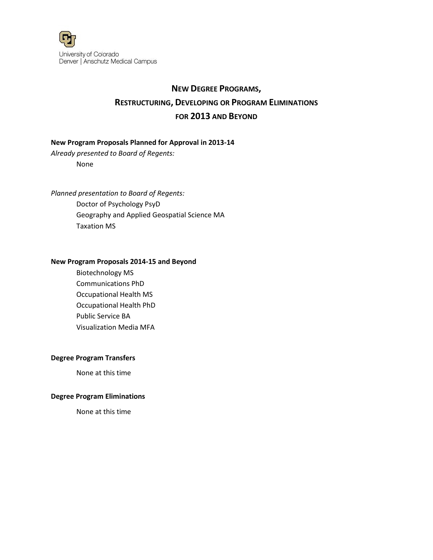

# **NEW DEGREE PROGRAMS, RESTRUCTURING, DEVELOPING OR PROGRAM ELIMINATIONS FOR 2013 AND BEYOND**

### **New Program Proposals Planned for Approval in 2013-14**

*Already presented to Board of Regents:*

None

*Planned presentation to Board of Regents:*

Doctor of Psychology PsyD Geography and Applied Geospatial Science MA Taxation MS

### **New Program Proposals 2014-15 and Beyond**

Biotechnology MS Communications PhD Occupational Health MS Occupational Health PhD Public Service BA Visualization Media MFA

### **Degree Program Transfers**

None at this time

### **Degree Program Eliminations**

None at this time